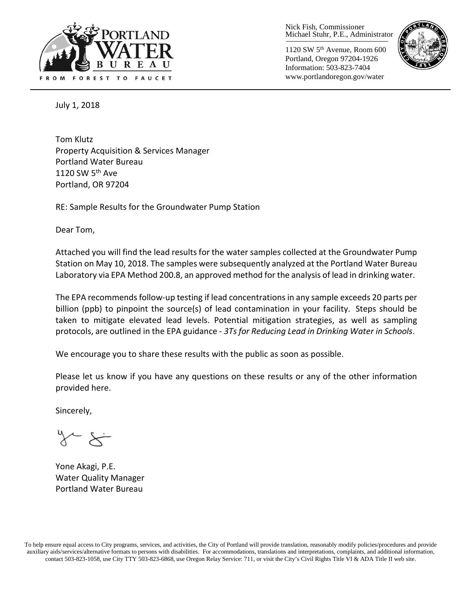

Nick Fish, Commissioner Michael Stuhr, P.E., Administrator

1120 SW 5th Avenue, Room 600 Portland, Oregon 97204-1926 Information: 503-823-7404 www.portlandoregon.gov/water



July 1, 2018

Tom Klutz Property Acquisition & Services Manager Portland Water Bureau 1120 SW  $5<sup>th</sup>$  Ave Portland, OR 97204

RE: Sample Results for the Groundwater Pump Station

Dear Tom,

Attached you will find the lead results for the water samples collected at the Groundwater Pump Station on May 10, 2018. The samples were subsequently analyzed at the Portland Water Bureau Laboratory via EPA Method 200.8, an approved method for the analysis of lead in drinking water.

The EPA recommends follow-up testing if lead concentrations in any sample exceeds 20 parts per billion (ppb) to pinpoint the source(s) of lead contamination in your facility. Steps should be taken to mitigate elevated lead levels. Potential mitigation strategies, as well as sampling protocols, are outlined in the EPA guidance - *3Ts for Reducing Lead in Drinking Water in Schools*.

We encourage you to share these results with the public as soon as possible.

Please let us know if you have any questions on these results or any of the other information provided here.

Sincerely,

 $\sim$   $\times$ 

Yone Akagi, P.E. Water Quality Manager Portland Water Bureau

To help ensure equal access to City programs, services, and activities, the City of Portland will provide translation, reasonably modify policies/procedures and provide auxiliary aids/services/alternative formats to persons with disabilities. For accommodations, translations and interpretations, complaints, and additional information, contact 503-823-1058, use City TTY 503-823-6868, use Oregon Relay Service: 711, or visi[t the City's Civil Rights Title VI & ADA Title II web site.](http://www.portlandoregon.gov/oehr/66458)